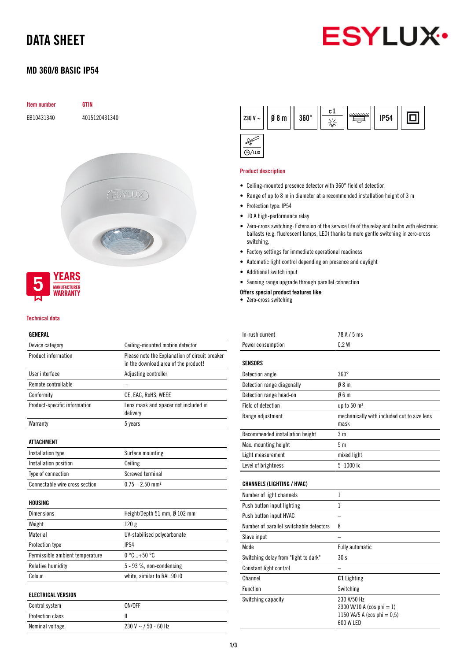# DATA SHEET



# MD 360/8 BASIC IP54



#### Technical data

## GENERAL

| Device category                 | Ceiling-mounted motion detector                                                        |  |  |
|---------------------------------|----------------------------------------------------------------------------------------|--|--|
| Product information             | Please note the Explanation of circuit breaker<br>in the download area of the product! |  |  |
| User interface                  | Adjusting controller                                                                   |  |  |
| Remote controllable             |                                                                                        |  |  |
| Conformity                      | CE, EAC, RoHS, WEEE                                                                    |  |  |
| Product-specific information    | Lens mask and spacer not included in<br>delivery                                       |  |  |
| Warranty                        | 5 years                                                                                |  |  |
| ATTACHMENT                      |                                                                                        |  |  |
| Installation type               | Surface mounting                                                                       |  |  |
| Installation position           | Ceiling                                                                                |  |  |
| Type of connection              | Screwed terminal                                                                       |  |  |
| Connectable wire cross section  | $0.75 - 2.50$ mm <sup>2</sup>                                                          |  |  |
| HOUSING                         |                                                                                        |  |  |
| <b>Dimensions</b>               | Height/Depth 51 mm, Ø 102 mm                                                           |  |  |
| Weight                          | 120g                                                                                   |  |  |
| Material                        | UV-stabilised polycarbonate                                                            |  |  |
| Protection type                 | <b>IP54</b>                                                                            |  |  |
| Permissible ambient temperature | $0^{\circ}$ C +50 $^{\circ}$ C                                                         |  |  |
| Relative humidity               | 5 - 93 %, non-condensing                                                               |  |  |
| Colour                          | white, similar to RAL 9010                                                             |  |  |
| <b>ELECTRICAL VERSION</b>       |                                                                                        |  |  |
| Control system                  | ON/OFF                                                                                 |  |  |
| Protection class                | Ш                                                                                      |  |  |
| Nominal voltage                 | 230 V ~ / 50 - 60 Hz                                                                   |  |  |

| 230 V ~ $  $ | $\emptyset$ 8 m $  $ | $360^\circ$ | c1 | <b>IP54</b> |  |
|--------------|----------------------|-------------|----|-------------|--|
|              |                      |             |    |             |  |

### Product description

 $O/IVX$ 

- Ceiling-mounted presence detector with 360° field of detection
- Range of up to 8 m in diameter at a recommended installation height of 3 m
- Protection type: IP54
- 10 A high-performance relay
- Zero-cross switching: Extension of the service life of the relay and bulbs with electronic ballasts (e.g. fluorescent lamps, LED) thanks to more gentle switching in zero-cross switching.
- Factory settings for immediate operational readiness
- Automatic light control depending on presence and daylight
- Additional switch input
- Sensing range upgrade through parallel connection

### Offers special product features like:

• Zero-cross switching

| In-rush current   | 78 A / 5 ms |
|-------------------|-------------|
| Power consumption | 0.2W        |

| <b>SENSORS</b>                  |                                                     |
|---------------------------------|-----------------------------------------------------|
| Detection angle                 | $360^\circ$                                         |
| Detection range diagonally      | Ø8m                                                 |
| Detection range head-on         | 06 m                                                |
| Field of detection              | up to $50 \text{ m}^2$                              |
| Range adjustment                | mechanically with included cut to size lens<br>mask |
| Recommended installation height | 3 m                                                 |
| Max. mounting height            | 5m                                                  |
| Light measurement               | mixed light                                         |
| Level of brightness             | $5 - 1000$ lx                                       |

### CHANNELS (LIGHTING / HVAC)

| Number of light channels                |                                                                                            |
|-----------------------------------------|--------------------------------------------------------------------------------------------|
| Push button input lighting              |                                                                                            |
| Push button input HVAC                  |                                                                                            |
| Number of parallel switchable detectors | 8                                                                                          |
| Slave input                             |                                                                                            |
| Mode                                    | <b>Fully automatic</b>                                                                     |
| Switching delay from "light to dark"    | 30 <sub>s</sub>                                                                            |
| Constant light control                  |                                                                                            |
| Channel                                 | <b>C1</b> Lighting                                                                         |
| Function                                | Switching                                                                                  |
| Switching capacity                      | 230 V/50 Hz<br>2300 W/10 A (cos phi $= 1$ )<br>1150 VA/5 A (cos phi = $0.5$ )<br>600 W LED |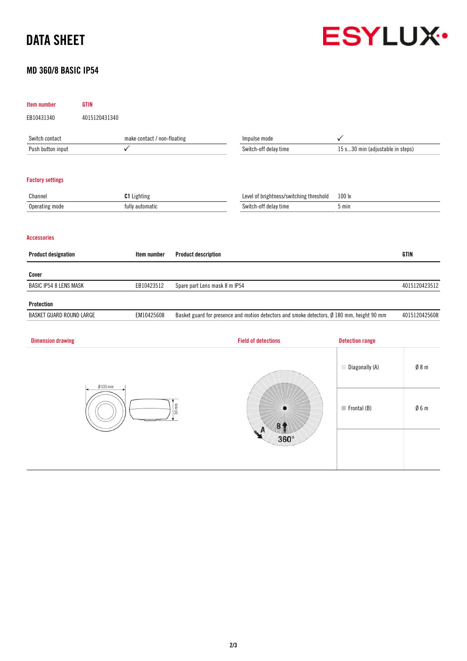# DATA SHEET



# MD 360/8 BASIC IP54

| Item number                   | <b>GTIN</b>   |                             |                               |                                                                                            |                                  |               |
|-------------------------------|---------------|-----------------------------|-------------------------------|--------------------------------------------------------------------------------------------|----------------------------------|---------------|
| EB10431340                    | 4015120431340 |                             |                               |                                                                                            |                                  |               |
| Switch contact                |               | make contact / non-floating |                               | Impulse mode                                                                               | $\checkmark$                     |               |
| Push button input             |               | $\checkmark$                |                               | Switch-off delay time                                                                      | 15 s30 min (adjustable in steps) |               |
|                               |               |                             |                               |                                                                                            |                                  |               |
| <b>Factory settings</b>       |               |                             |                               |                                                                                            |                                  |               |
| Channel                       |               | C1 Lighting                 |                               | Level of brightness/switching threshold                                                    | 100 lx                           |               |
| Operating mode                |               | fully automatic             |                               | Switch-off delay time                                                                      | 5 min                            |               |
|                               |               |                             |                               |                                                                                            |                                  |               |
| <b>Accessories</b>            |               |                             |                               |                                                                                            |                                  |               |
| <b>Product designation</b>    |               | Item number                 | <b>Product description</b>    |                                                                                            |                                  | <b>GTIN</b>   |
| Cover                         |               |                             |                               |                                                                                            |                                  |               |
| <b>BASIC IP54 8 LENS MASK</b> |               | EB10423512                  | Spare part Lens mask 8 m IP54 |                                                                                            |                                  | 4015120423512 |
| Protection                    |               |                             |                               |                                                                                            |                                  |               |
| BASKET GUARD ROUND LARGE      |               | EM10425608                  |                               | Basket guard for presence and motion detectors and smoke detectors, Ø 180 mm, height 90 mm |                                  | 4015120425608 |
|                               |               |                             |                               |                                                                                            |                                  |               |
| <b>Dimension drawing</b>      |               |                             |                               | <b>Field of detections</b>                                                                 | <b>Detection range</b>           |               |
|                               | $Ø101$ mm     |                             |                               |                                                                                            | Diagonally (A)                   | Ø 8 m         |
| $50 \text{ mm}$               |               |                             | B <sub>1</sub>                | $\blacksquare$ Frontal (B)                                                                 | Ø6m                              |               |
|                               |               |                             |                               | 360°                                                                                       |                                  |               |